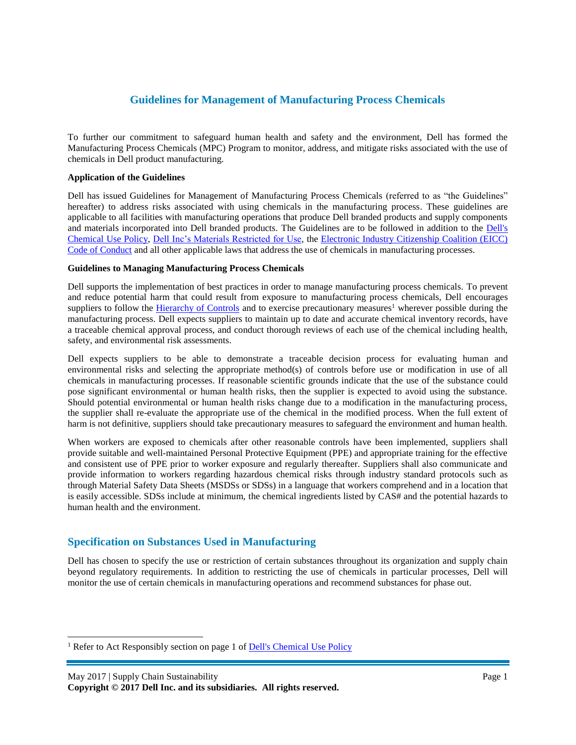# **Guidelines for Management of Manufacturing Process Chemicals**

To further our commitment to safeguard human health and safety and the environment, Dell has formed the Manufacturing Process Chemicals (MPC) Program to monitor, address, and mitigate risks associated with the use of chemicals in Dell product manufacturing.

### **Application of the Guidelines**

Dell has issued Guidelines for Management of Manufacturing Process Chemicals (referred to as "the Guidelines" hereafter) to address risks associated with using chemicals in the manufacturing process. These guidelines are applicable to all facilities with manufacturing operations that produce Dell branded products and supply components and materials incorporated into Dell branded products. The Guidelines are to be followed in addition to the Dell's [Chemical Use Policy,](http://i.dell.com/sites/doccontent/corporate/environment/en/Documents/chemical-use-policy.pdf) [Dell Inc's Materials Restricted for Use,](http://i.dell.com/sites/content/corporate/environment/en/Documents/earth-restricted-use-policy.pdf) the [Electronic Industry Citizenship Coalition \(EICC\)](http://www.eiccoalition.org/standards/code-of-conduct/) [Code of Conduct](http://www.eiccoalition.org/standards/code-of-conduct/) and all other applicable laws that address the use of chemicals in manufacturing processes.

## **Guidelines to Managing Manufacturing Process Chemicals**

Dell supports the implementation of best practices in order to manage manufacturing process chemicals. To prevent and reduce potential harm that could result from exposure to manufacturing process chemicals, Dell encourages suppliers to follow the [Hierarchy of Controls](https://www.cdc.gov/niosh/topics/hierarchy/) and to exercise precautionary measures<sup>1</sup> wherever possible during the manufacturing process. Dell expects suppliers to maintain up to date and accurate chemical inventory records, have a traceable chemical approval process, and conduct thorough reviews of each use of the chemical including health, safety, and environmental risk assessments.

Dell expects suppliers to be able to demonstrate a traceable decision process for evaluating human and environmental risks and selecting the appropriate method(s) of controls before use or modification in use of all chemicals in manufacturing processes. If reasonable scientific grounds indicate that the use of the substance could pose significant environmental or human health risks, then the supplier is expected to avoid using the substance. Should potential environmental or human health risks change due to a modification in the manufacturing process, the supplier shall re-evaluate the appropriate use of the chemical in the modified process. When the full extent of harm is not definitive, suppliers should take precautionary measures to safeguard the environment and human health.

When workers are exposed to chemicals after other reasonable controls have been implemented, suppliers shall provide suitable and well-maintained Personal Protective Equipment (PPE) and appropriate training for the effective and consistent use of PPE prior to worker exposure and regularly thereafter. Suppliers shall also communicate and provide information to workers regarding hazardous chemical risks through industry standard protocols such as through Material Safety Data Sheets (MSDSs or SDSs) in a language that workers comprehend and in a location that is easily accessible. SDSs include at minimum, the chemical ingredients listed by CAS# and the potential hazards to human health and the environment.

# **Specification on Substances Used in Manufacturing**

Dell has chosen to specify the use or restriction of certain substances throughout its organization and supply chain beyond regulatory requirements. In addition to restricting the use of chemicals in particular processes, Dell will monitor the use of certain chemicals in manufacturing operations and recommend substances for phase out.

 $\overline{a}$ 

<sup>&</sup>lt;sup>1</sup> Refer to Act Responsibly section on page 1 of **Dell's Chemical Use Policy** 

**Copyright © 2017 Dell Inc. and its subsidiaries. All rights reserved.**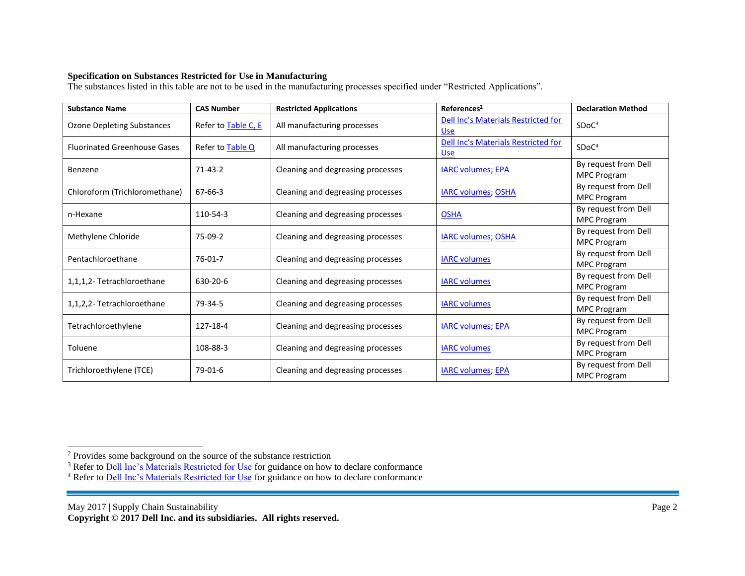# **Specification on Substances Restricted for Use in Manufacturing**

The substances listed in this table are not to be used in the manufacturing processes specified under "Restricted Applications".

| <b>Substance Name</b>               | <b>CAS Number</b>   | <b>Restricted Applications</b>    | References <sup>2</sup>                           | <b>Declaration Method</b>                  |
|-------------------------------------|---------------------|-----------------------------------|---------------------------------------------------|--------------------------------------------|
| <b>Ozone Depleting Substances</b>   | Refer to Table C, E | All manufacturing processes       | Dell Inc's Materials Restricted for<br><b>Use</b> | SDoC <sup>3</sup>                          |
| <b>Fluorinated Greenhouse Gases</b> | Refer to Table Q    | All manufacturing processes       | Dell Inc's Materials Restricted for<br><b>Use</b> | SDoC <sup>4</sup>                          |
| Benzene                             | $71 - 43 - 2$       | Cleaning and degreasing processes | <b>IARC volumes; EPA</b>                          | By request from Dell<br><b>MPC Program</b> |
| Chloroform (Trichloromethane)       | 67-66-3             | Cleaning and degreasing processes | <b>IARC volumes; OSHA</b>                         | By request from Dell<br><b>MPC Program</b> |
| n-Hexane                            | 110-54-3            | Cleaning and degreasing processes | <b>OSHA</b>                                       | By request from Dell<br><b>MPC Program</b> |
| Methylene Chloride                  | 75-09-2             | Cleaning and degreasing processes | <b>IARC volumes; OSHA</b>                         | By request from Dell<br><b>MPC Program</b> |
| Pentachloroethane                   | 76-01-7             | Cleaning and degreasing processes | <b>IARC volumes</b>                               | By request from Dell<br><b>MPC Program</b> |
| 1,1,1,2-Tetrachloroethane           | 630-20-6            | Cleaning and degreasing processes | <b>IARC</b> volumes                               | By request from Dell<br><b>MPC Program</b> |
| 1,1,2,2- Tetrachloroethane          | 79-34-5             | Cleaning and degreasing processes | <b>IARC volumes</b>                               | By request from Dell<br><b>MPC Program</b> |
| Tetrachloroethylene                 | 127-18-4            | Cleaning and degreasing processes | <b>IARC volumes; EPA</b>                          | By request from Dell<br><b>MPC Program</b> |
| Toluene                             | 108-88-3            | Cleaning and degreasing processes | <b>IARC</b> volumes                               | By request from Dell<br><b>MPC Program</b> |
| Trichloroethylene (TCE)             | $79-01-6$           | Cleaning and degreasing processes | <b>IARC volumes; EPA</b>                          | By request from Dell<br><b>MPC Program</b> |

 $\overline{a}$ 

 $2^2$  Provides some background on the source of the substance restriction

<sup>&</sup>lt;sup>3</sup> Refer to **Dell Inc**'s Materials Restricted for Use for guidance on how to declare conformance

<sup>&</sup>lt;sup>4</sup> Refer to **Dell Inc's Materials Restricted for Use** for guidance on how to declare conformance

May 2017 | Supply Chain Sustainability Page 2

**Copyright © 2017 Dell Inc. and its subsidiaries. All rights reserved.**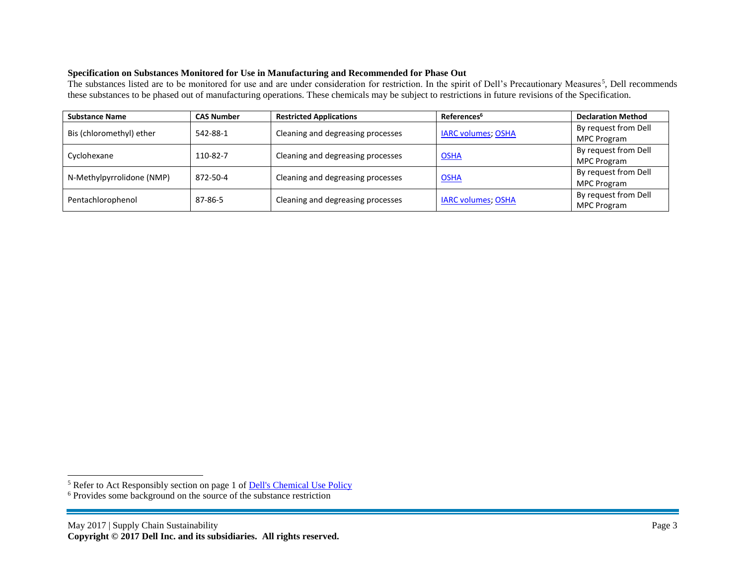# **Specification on Substances Monitored for Use in Manufacturing and Recommended for Phase Out**

The substances listed are to be monitored for use and are under consideration for restriction. In the spirit of Dell's Precautionary Measures<sup>5</sup>, Dell recommends these substances to be phased out of manufacturing operations. These chemicals may be subject to restrictions in future revisions of the Specification.

| <b>Substance Name</b>     | <b>CAS Number</b> | <b>Restricted Applications</b>    | References <sup>6</sup>   | <b>Declaration Method</b> |
|---------------------------|-------------------|-----------------------------------|---------------------------|---------------------------|
| Bis (chloromethyl) ether  | 542-88-1          | Cleaning and degreasing processes | <b>IARC volumes; OSHA</b> | By request from Dell      |
|                           |                   |                                   |                           | MPC Program               |
| Cyclohexane               | 110-82-7          | Cleaning and degreasing processes | <b>OSHA</b>               | By request from Dell      |
|                           |                   |                                   |                           | MPC Program               |
| N-Methylpyrrolidone (NMP) | 872-50-4          | Cleaning and degreasing processes | <b>OSHA</b>               | By request from Dell      |
|                           |                   |                                   |                           | <b>MPC Program</b>        |
| Pentachlorophenol         | 87-86-5           | Cleaning and degreasing processes | <b>IARC volumes; OSHA</b> | By request from Dell      |
|                           |                   |                                   |                           | <b>MPC Program</b>        |

 $\overline{a}$ 

<sup>&</sup>lt;sup>5</sup> Refer to Act Responsibly section on page 1 of **Dell's Chemical Use Policy** 

<sup>&</sup>lt;sup>6</sup> Provides some background on the source of the substance restriction